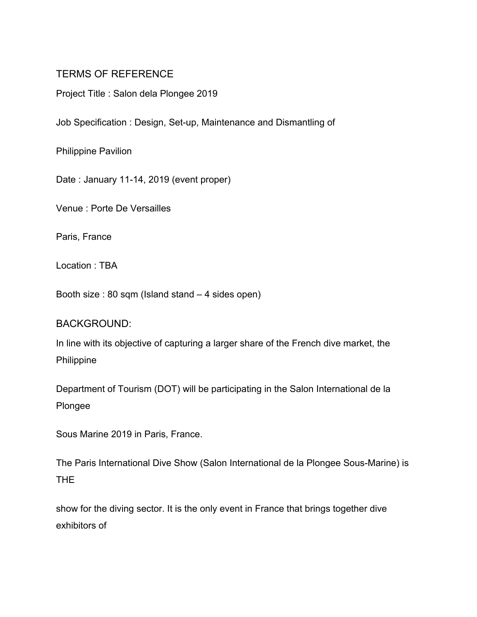# TERMS OF REFERENCE

Project Title : Salon dela Plongee 2019

Job Specification : Design, Set-up, Maintenance and Dismantling of

Philippine Pavilion

Date : January 11-14, 2019 (event proper)

Venue : Porte De Versailles

Paris, France

Location : TBA

Booth size : 80 sqm (Island stand – 4 sides open)

#### BACKGROUND:

In line with its objective of capturing a larger share of the French dive market, the Philippine

Department of Tourism (DOT) will be participating in the Salon International de la Plongee

Sous Marine 2019 in Paris, France.

The Paris International Dive Show (Salon International de la Plongee Sous-Marine) is THE

show for the diving sector. It is the only event in France that brings together dive exhibitors of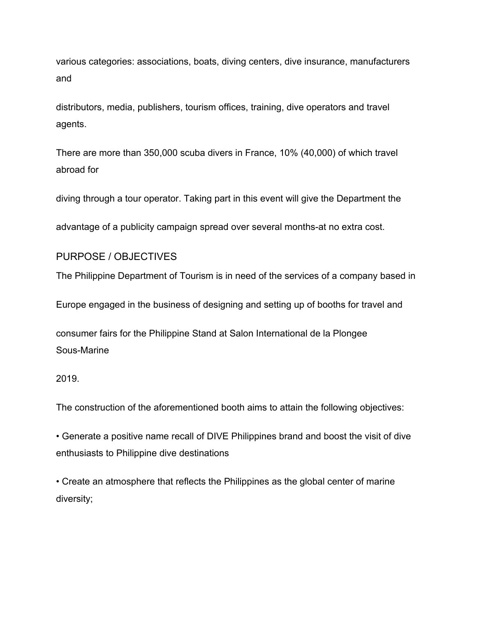various categories: associations, boats, diving centers, dive insurance, manufacturers and

distributors, media, publishers, tourism offices, training, dive operators and travel agents.

There are more than 350,000 scuba divers in France, 10% (40,000) of which travel abroad for

diving through a tour operator. Taking part in this event will give the Department the

advantage of a publicity campaign spread over several months-at no extra cost.

#### PURPOSE / OBJECTIVES

The Philippine Department of Tourism is in need of the services of a company based in

Europe engaged in the business of designing and setting up of booths for travel and

consumer fairs for the Philippine Stand at Salon International de la Plongee Sous-Marine

#### 2019.

The construction of the aforementioned booth aims to attain the following objectives:

• Generate a positive name recall of DIVE Philippines brand and boost the visit of dive enthusiasts to Philippine dive destinations

• Create an atmosphere that reflects the Philippines as the global center of marine diversity;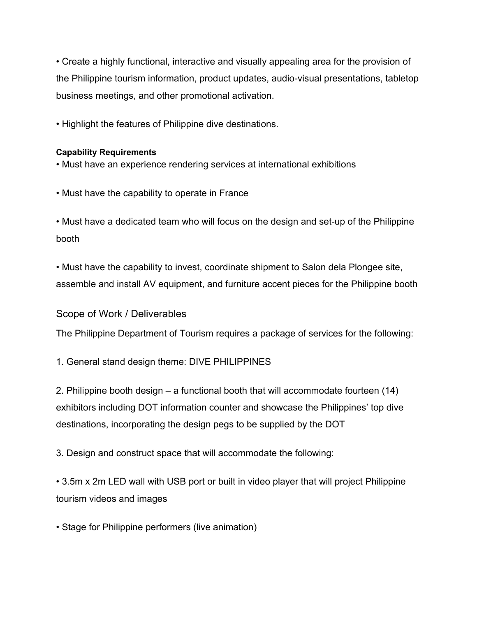• Create a highly functional, interactive and visually appealing area for the provision of the Philippine tourism information, product updates, audio-visual presentations, tabletop business meetings, and other promotional activation.

• Highlight the features of Philippine dive destinations.

### **Capability Requirements**

- Must have an experience rendering services at international exhibitions
- Must have the capability to operate in France

• Must have a dedicated team who will focus on the design and set-up of the Philippine booth

• Must have the capability to invest, coordinate shipment to Salon dela Plongee site, assemble and install AV equipment, and furniture accent pieces for the Philippine booth

### Scope of Work / Deliverables

The Philippine Department of Tourism requires a package of services for the following:

1. General stand design theme: DIVE PHILIPPINES

2. Philippine booth design – a functional booth that will accommodate fourteen (14) exhibitors including DOT information counter and showcase the Philippines' top dive destinations, incorporating the design pegs to be supplied by the DOT

3. Design and construct space that will accommodate the following:

• 3.5m x 2m LED wall with USB port or built in video player that will project Philippine tourism videos and images

• Stage for Philippine performers (live animation)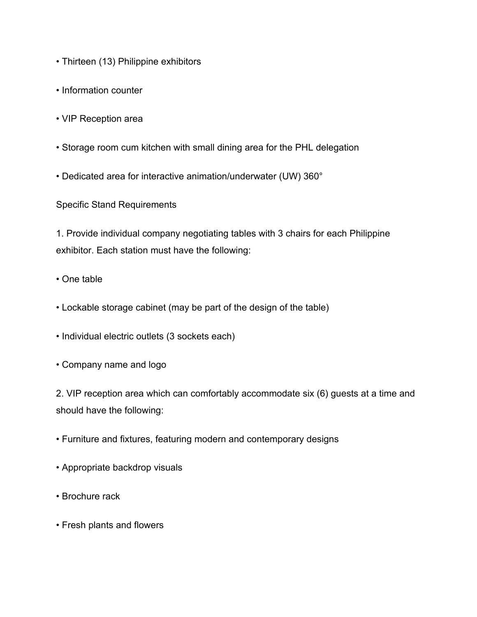- Thirteen (13) Philippine exhibitors
- Information counter
- VIP Reception area
- Storage room cum kitchen with small dining area for the PHL delegation
- Dedicated area for interactive animation/underwater (UW) 360°

Specific Stand Requirements

1. Provide individual company negotiating tables with 3 chairs for each Philippine exhibitor. Each station must have the following:

- One table
- Lockable storage cabinet (may be part of the design of the table)
- Individual electric outlets (3 sockets each)
- Company name and logo

2. VIP reception area which can comfortably accommodate six (6) guests at a time and should have the following:

- Furniture and fixtures, featuring modern and contemporary designs
- Appropriate backdrop visuals
- Brochure rack
- Fresh plants and flowers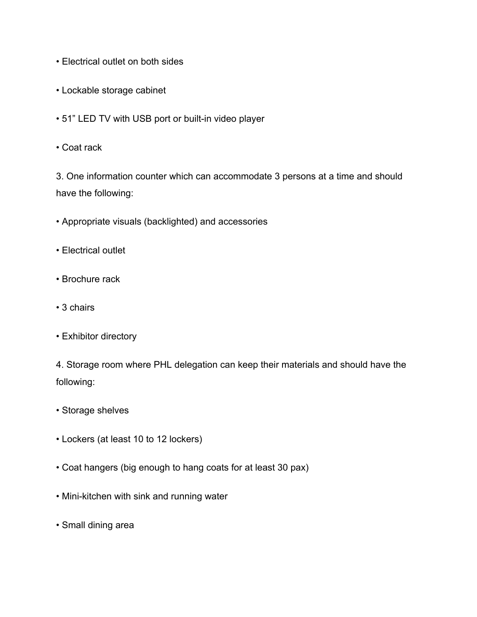- Electrical outlet on both sides
- Lockable storage cabinet
- 51" LED TV with USB port or built-in video player
- Coat rack

3. One information counter which can accommodate 3 persons at a time and should have the following:

- Appropriate visuals (backlighted) and accessories
- Electrical outlet
- Brochure rack
- 3 chairs
- Exhibitor directory

4. Storage room where PHL delegation can keep their materials and should have the following:

- Storage shelves
- Lockers (at least 10 to 12 lockers)
- Coat hangers (big enough to hang coats for at least 30 pax)
- Mini-kitchen with sink and running water
- Small dining area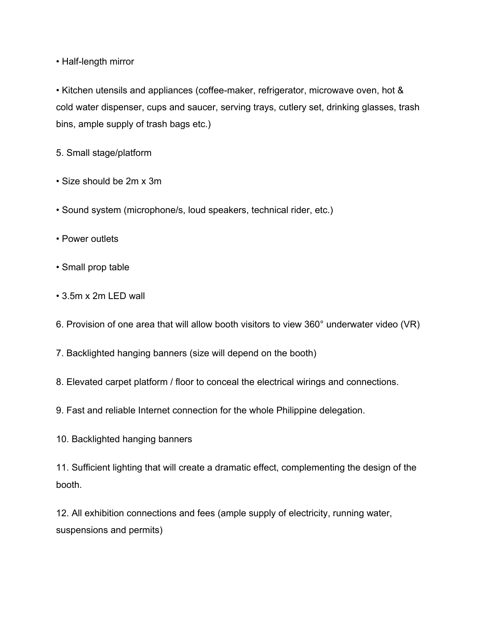• Half-length mirror

• Kitchen utensils and appliances (coffee-maker, refrigerator, microwave oven, hot & cold water dispenser, cups and saucer, serving trays, cutlery set, drinking glasses, trash bins, ample supply of trash bags etc.)

5. Small stage/platform

- Size should be 2m x 3m
- Sound system (microphone/s, loud speakers, technical rider, etc.)
- Power outlets
- Small prop table
- 3.5m x 2m LED wall
- 6. Provision of one area that will allow booth visitors to view 360° underwater video (VR)
- 7. Backlighted hanging banners (size will depend on the booth)
- 8. Elevated carpet platform / floor to conceal the electrical wirings and connections.
- 9. Fast and reliable Internet connection for the whole Philippine delegation.
- 10. Backlighted hanging banners

11. Sufficient lighting that will create a dramatic effect, complementing the design of the booth.

12. All exhibition connections and fees (ample supply of electricity, running water, suspensions and permits)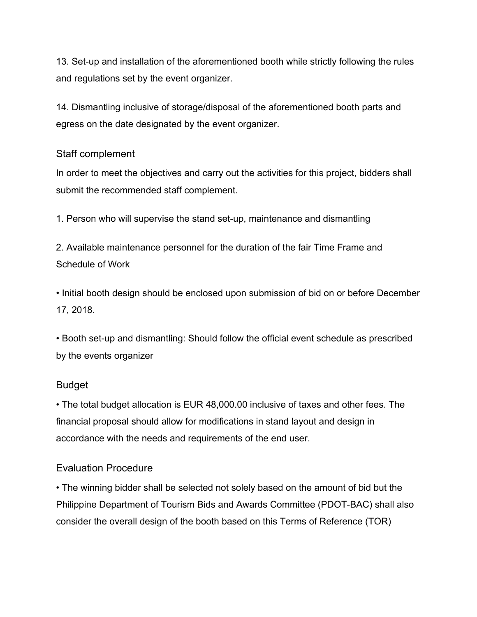13. Set-up and installation of the aforementioned booth while strictly following the rules and regulations set by the event organizer.

14. Dismantling inclusive of storage/disposal of the aforementioned booth parts and egress on the date designated by the event organizer.

### Staff complement

In order to meet the objectives and carry out the activities for this project, bidders shall submit the recommended staff complement.

1. Person who will supervise the stand set-up, maintenance and dismantling

2. Available maintenance personnel for the duration of the fair Time Frame and Schedule of Work

• Initial booth design should be enclosed upon submission of bid on or before December 17, 2018.

• Booth set-up and dismantling: Should follow the official event schedule as prescribed by the events organizer

# Budget

• The total budget allocation is EUR 48,000.00 inclusive of taxes and other fees. The financial proposal should allow for modifications in stand layout and design in accordance with the needs and requirements of the end user.

# Evaluation Procedure

• The winning bidder shall be selected not solely based on the amount of bid but the Philippine Department of Tourism Bids and Awards Committee (PDOT-BAC) shall also consider the overall design of the booth based on this Terms of Reference (TOR)